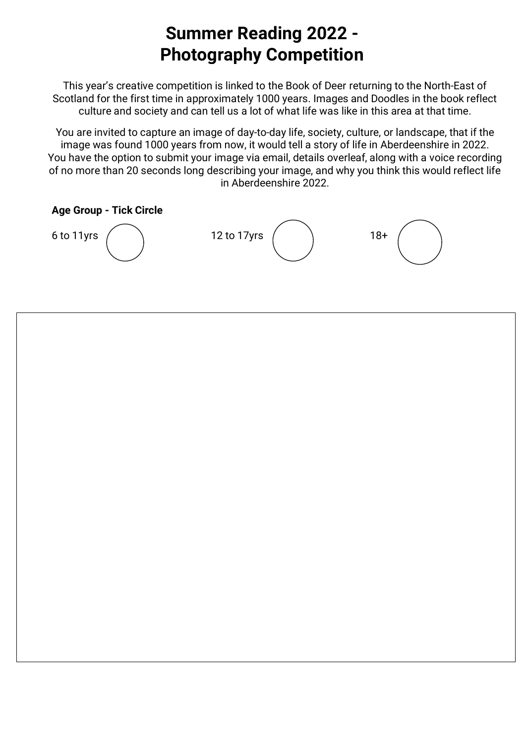## **Summer Reading 2022 - Photography Competition**

This year's creative competition is linked to the Book of Deer returning to the North-East of Scotland for the first time in approximately 1000 years. Images and Doodles in the book reflect culture and society and can tell us a lot of what life was like in this area at that time.

You are invited to capture an image of day-to-day life, society, culture, or landscape, that if the image was found 1000 years from now, it would tell a story of life in Aberdeenshire in 2022. You have the option to submit your image via email, details overleaf, along with a voice recording of no more than 20 seconds long describing your image, and why you think this would reflect life in Aberdeenshire 2022.